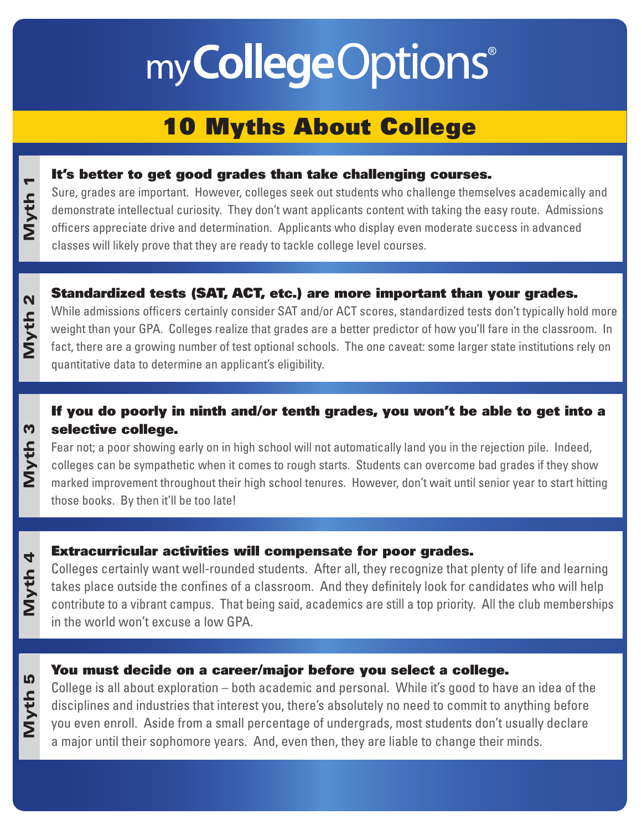# my College Options®

# 10 Myths About College

### It's better to get good grades than take challenging courses.

Sure, grades are important. However, colleges seek out students who challenge themselves academically and demonstrate intellectual curiosity. They don't want applicants content with taking the easy route. Admissions officers appreciate drive and determination. Applicants who display even moderate success in advanced classes will likely prove that they are ready to tackle college level courses.

### Standardized tests (SAT, ACT, etc.) are more important than your grades.

Myth 2

Myth<sub>3</sub>

**Myth 1** 

While admissions officers certainly consider SAT and/or ACT scores, standardized tests don't typically hold more weight than your GPA. Colleges realize that grades are a better predictor of how you'll fare in the classroom. In fact, there are a growing number of test optional schools. The one caveat: some larger state institutions rely on quantitative data to determine an applicant's eligibility.

### If you do poorly in ninth and/or tenth grades, you won't be able to get into a selective college.

Fear not; a poor showing early on in high school will not automatically land you in the rejection pile. Indeed, colleges can be sympathetic when it comes to rough starts. Students can overcome bad grades if they show marked improvement throughout their high school tenures. However, don't wait until senior year to start hitting those books. By then it'll be too late!

# Myth 5 Myth 4 Myth 3 Myth 2 Myth 1 Myth 4

Myth 5

### Extracurricular activities will compensate for poor grades.

Colleges certainly want well-rounded students. After all, they recognize that plenty of life and learning takes place outside the confines of a classroom. And they definitely look for candidates who will help contribute to a vibrant campus. That being said, academics are still a top priority. All the club memberships in the world won't excuse a low GPA.

### You must decide on a career/major before you select a college.

College is all about exploration – both academic and personal. While it's good to have an idea of the disciplines and industries that interest you, there's absolutely no need to commit to anything before you even enroll. Aside from a small percentage of undergrads, most students don't usually declare a major until their sophomore years. And, even then, they are liable to change their minds.